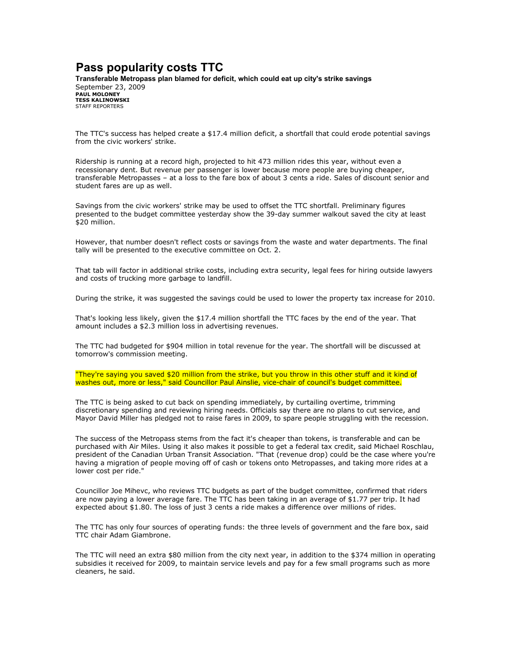## Pass popularity costs TTC

Transferable Metropass plan blamed for deficit, which could eat up city's strike savings September 23, 2009 PAUL MOLONEY TESS KALINOWSKI STAFF REPORTERS

The TTC's success has helped create a \$17.4 million deficit, a shortfall that could erode potential savings from the civic workers' strike.

Ridership is running at a record high, projected to hit 473 million rides this year, without even a recessionary dent. But revenue per passenger is lower because more people are buying cheaper, transferable Metropasses – at a loss to the fare box of about 3 cents a ride. Sales of discount senior and student fares are up as well.

Savings from the civic workers' strike may be used to offset the TTC shortfall. Preliminary figures presented to the budget committee yesterday show the 39-day summer walkout saved the city at least \$20 million.

However, that number doesn't reflect costs or savings from the waste and water departments. The final tally will be presented to the executive committee on Oct. 2.

That tab will factor in additional strike costs, including extra security, legal fees for hiring outside lawyers and costs of trucking more garbage to landfill.

During the strike, it was suggested the savings could be used to lower the property tax increase for 2010.

That's looking less likely, given the \$17.4 million shortfall the TTC faces by the end of the year. That amount includes a \$2.3 million loss in advertising revenues.

The TTC had budgeted for \$904 million in total revenue for the year. The shortfall will be discussed at tomorrow's commission meeting.

"They're saying you saved \$20 million from the strike, but you throw in this other stuff and it kind of washes out, more or less," said Councillor Paul Ainslie, vice-chair of council's budget committee.

The TTC is being asked to cut back on spending immediately, by curtailing overtime, trimming discretionary spending and reviewing hiring needs. Officials say there are no plans to cut service, and Mayor David Miller has pledged not to raise fares in 2009, to spare people struggling with the recession.

The success of the Metropass stems from the fact it's cheaper than tokens, is transferable and can be purchased with Air Miles. Using it also makes it possible to get a federal tax credit, said Michael Roschlau, president of the Canadian Urban Transit Association. "That (revenue drop) could be the case where you're having a migration of people moving off of cash or tokens onto Metropasses, and taking more rides at a lower cost per ride."

Councillor Joe Mihevc, who reviews TTC budgets as part of the budget committee, confirmed that riders are now paying a lower average fare. The TTC has been taking in an average of \$1.77 per trip. It had expected about \$1.80. The loss of just 3 cents a ride makes a difference over millions of rides.

The TTC has only four sources of operating funds: the three levels of government and the fare box, said TTC chair Adam Giambrone.

The TTC will need an extra \$80 million from the city next year, in addition to the \$374 million in operating subsidies it received for 2009, to maintain service levels and pay for a few small programs such as more cleaners, he said.